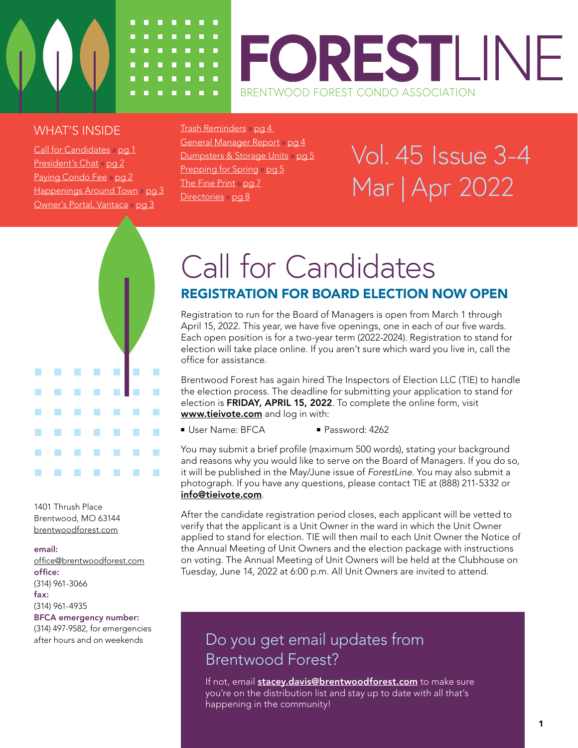

### <span id="page-0-0"></span>WHAT'S INSIDE

Call for Candidates » pg 1 [President's Chat](#page-1-0) » pg 2 [Paying Condo Fee](#page-1-0) » pg 2 [Happenings Around Town](#page-2-0) » pg 3 [Owner's Portal, Vantaca](#page-2-0) » pg 3

[Trash Reminders](#page-3-0) » pg 4 [General Manager Report](#page-3-0) » pg 4 [Dumpsters & Storage Units](#page-4-0) » pg 5 [Prepping for Spring](#page-4-0) » pg 5 [The Fine Print](#page-6-0) » pg 7 [Directories](#page-7-0) » pg 8

# Vol. 45 Issue 3-4 Mar | Apr 2022



1401 Thrush Place Brentwood, MO 63144 [brentwoodforest.com](http://brentwoodforest.com)

#### email:

[office@brentwoodforest.co](mailto:office@brentwoodforest.com)m office: (314) 961-3066 fax: (314) 961-4935 BFCA emergency number:

(314) 497-9582, for emergencies after hours and on weekends

# Call for Candidates REGISTRATION FOR BOARD ELECTION NOW OPEN

Registration to run for the Board of Managers is open from March 1 through April 15, 2022. This year, we have five openings, one in each of our five wards. Each open position is for a two-year term (2022-2024). Registration to stand for election will take place online. If you aren't sure which ward you live in, call the office for assistance.

Brentwood Forest has again hired The Inspectors of Election LLC (TIE) to handle the election process. The deadline for submitting your application to stand for election is FRIDAY, APRIL 15, 2022. To complete the online form, visit [www.tieivote.com](http://www.tieivote.com) and log in with:

■ User Name: BFCA ■ Password: 4262

You may submit a brief profile (maximum 500 words), stating your background and reasons why you would like to serve on the Board of Managers. If you do so, it will be published in the May/June issue of *ForestLine*. You may also submit a photograph. If you have any questions, please contact TIE at (888) 211-5332 or [info@tieivote.com](mailto:info@tieivote.com).

After the candidate registration period closes, each applicant will be vetted to verify that the applicant is a Unit Owner in the ward in which the Unit Owner applied to stand for election. TIE will then mail to each Unit Owner the Notice of the Annual Meeting of Unit Owners and the election package with instructions on voting. The Annual Meeting of Unit Owners will be held at the Clubhouse on Tuesday, June 14, 2022 at 6:00 p.m. All Unit Owners are invited to attend.

# Do you get email updates from Brentwood Forest?

If not, email **[stacey.davis@brentwoodforest.com](mailto:stacey.davis@brentwoodforest.com)** to make sure you're on the distribution list and stay up to date with all that's happening in the community!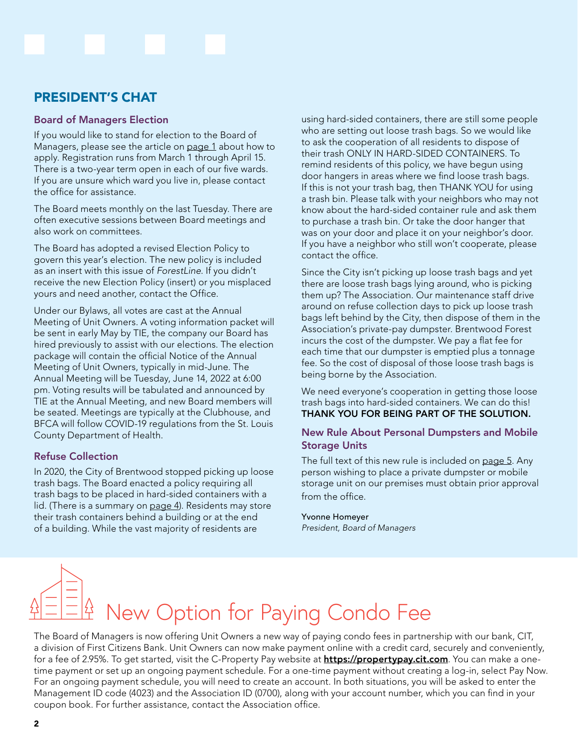## <span id="page-1-0"></span>PRESIDENT'S CHAT

### Board of Managers Election

If you would like to stand for election to the Board of Managers, please see the article on [page 1](#page-0-0) about how to apply. Registration runs from March 1 through April 15. There is a two-year term open in each of our five wards. If you are unsure which ward you live in, please contact the office for assistance.

The Board meets monthly on the last Tuesday. There are often executive sessions between Board meetings and also work on committees.

The Board has adopted a revised Election Policy to govern this year's election. The new policy is included as an insert with this issue of *ForestLine*. If you didn't receive the new Election Policy (insert) or you misplaced yours and need another, contact the Office.

Under our Bylaws, all votes are cast at the Annual Meeting of Unit Owners. A voting information packet will be sent in early May by TIE, the company our Board has hired previously to assist with our elections. The election package will contain the official Notice of the Annual Meeting of Unit Owners, typically in mid-June. The Annual Meeting will be Tuesday, June 14, 2022 at 6:00 pm. Voting results will be tabulated and announced by TIE at the Annual Meeting, and new Board members will be seated. Meetings are typically at the Clubhouse, and BFCA will follow COVID-19 regulations from the St. Louis County Department of Health.

### Refuse Collection

In 2020, the City of Brentwood stopped picking up loose trash bags. The Board enacted a policy requiring all trash bags to be placed in hard-sided containers with a lid. (There is a summary on [page 4\)](#page-3-0). Residents may store their trash containers behind a building or at the end of a building. While the vast majority of residents are

using hard-sided containers, there are still some people who are setting out loose trash bags. So we would like to ask the cooperation of all residents to dispose of their trash ONLY IN HARD-SIDED CONTAINERS. To remind residents of this policy, we have begun using door hangers in areas where we find loose trash bags. If this is not your trash bag, then THANK YOU for using a trash bin. Please talk with your neighbors who may not know about the hard-sided container rule and ask them to purchase a trash bin. Or take the door hanger that was on your door and place it on your neighbor's door. If you have a neighbor who still won't cooperate, please contact the office.

Since the City isn't picking up loose trash bags and yet there are loose trash bags lying around, who is picking them up? The Association. Our maintenance staff drive around on refuse collection days to pick up loose trash bags left behind by the City, then dispose of them in the Association's private-pay dumpster. Brentwood Forest incurs the cost of the dumpster. We pay a flat fee for each time that our dumpster is emptied plus a tonnage fee. So the cost of disposal of those loose trash bags is being borne by the Association.

We need everyone's cooperation in getting those loose trash bags into hard-sided containers. We can do this! THANK YOU FOR BEING PART OF THE SOLUTION.

### New Rule About Personal Dumpsters and Mobile Storage Units

The full text of this new rule is included on [page 5](#page-4-0). Any person wishing to place a private dumpster or mobile storage unit on our premises must obtain prior approval from the office.

#### Yvonne Homeyer

*President, Board of Managers*

# New Option for Paying Condo Fee

The Board of Managers is now offering Unit Owners a new way of paying condo fees in partnership with our bank, CIT, a division of First Citizens Bank. Unit Owners can now make payment online with a credit card, securely and conveniently, for a fee of 2.95%. To get started, visit the C-Property Pay website at **<https://propertypay.cit.com>**. You can make a onetime payment or set up an ongoing payment schedule. For a one-time payment without creating a log-in, select Pay Now. For an ongoing payment schedule, you will need to create an account. In both situations, you will be asked to enter the Management ID code (4023) and the Association ID (0700), along with your account number, which you can find in your coupon book. For further assistance, contact the Association office.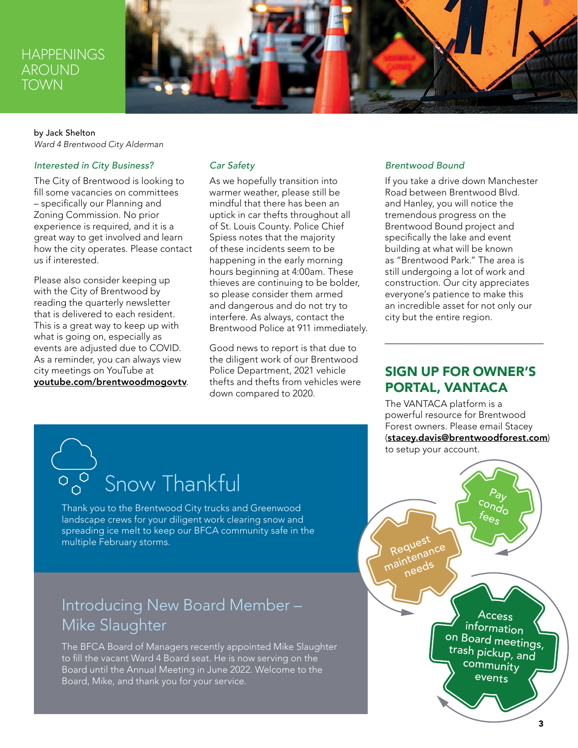## <span id="page-2-0"></span>**HAPPENINGS** AROUND **TOWN**



### by Jack Shelton *Ward 4 Brentwood City Alderman*

### *Interested in City Business?*

The City of Brentwood is looking to fill some vacancies on committees – specifically our Planning and Zoning Commission. No prior experience is required, and it is a great way to get involved and learn how the city operates. Please contact us if interested.

Please also consider keeping up with the City of Brentwood by reading the quarterly newsletter that is delivered to each resident. This is a great way to keep up with what is going on, especially as events are adjusted due to COVID. As a reminder, you can always view city meetings on YouTube at [youtube.com/brentwoodmogovtv](http://youtube.com/brentwoodmogovtv).

### *Car Safety*

As we hopefully transition into warmer weather, please still be mindful that there has been an uptick in car thefts throughout all of St. Louis County. Police Chief Spiess notes that the majority of these incidents seem to be happening in the early morning hours beginning at 4:00am. These thieves are continuing to be bolder, so please consider them armed and dangerous and do not try to interfere. As always, contact the Brentwood Police at 911 immediately.

Good news to report is that due to the diligent work of our Brentwood Police Department, 2021 vehicle thefts and thefts from vehicles were down compared to 2020.

#### *Brentwood Bound*

If you take a drive down Manchester Road between Brentwood Blvd. and Hanley, you will notice the tremendous progress on the Brentwood Bound project and specifically the lake and event building at what will be known as "Brentwood Park." The area is still undergoing a lot of work and construction. Our city appreciates everyone's patience to make this an incredible asset for not only our city but the entire region.

### SIGN UP FOR OWNER'S PORTAL, VANTACA

The VANTACA platform is a powerful resource for Brentwood Forest owners. Please email Stacey ([stacey.davis@brentwoodforest.com](mailto:stacey.davis@brentwoodforest.com)) to setup your account.

# $\overline{\mathcal{S}_{0}^{\circ}}$  Snow Thankful

Thank you to the Brentwood City trucks and Greenwood landscape crews for your diligent work clearing snow and spreading ice melt to keep our BFCA community safe in the multiple February storms.

# Introducing New Board Member – Mike Slaughter

The BFCA Board of Managers recently appointed Mike Slaughter to fill the vacant Ward 4 Board seat. He is now serving on the Board until the Annual Meeting in June 2022. Welcome to the Board, Mike, and thank you for your service.

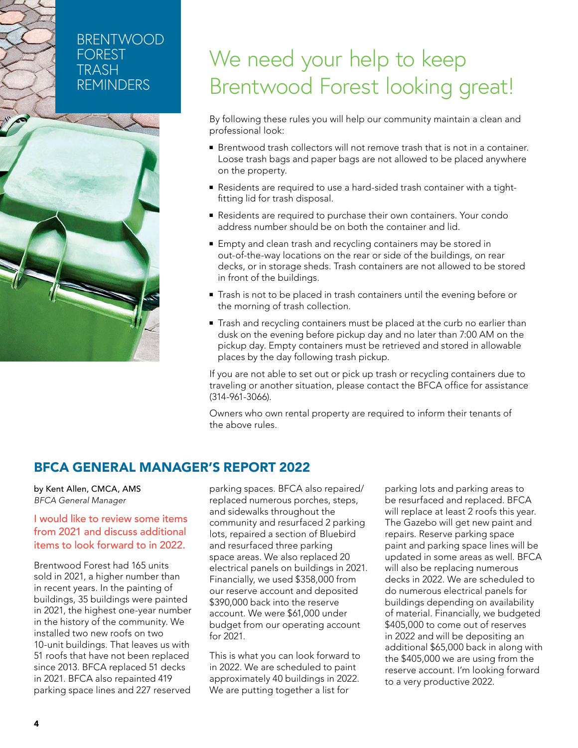# <span id="page-3-0"></span>BRENTWOOD FOREST TRASH REMINDERS



# We need your help to keep Brentwood Forest looking great!

By following these rules you will help our community maintain a clean and professional look:

- Brentwood trash collectors will not remove trash that is not in a container. Loose trash bags and paper bags are not allowed to be placed anywhere on the property.
- Residents are required to use a hard-sided trash container with a tightfitting lid for trash disposal.
- Residents are required to purchase their own containers. Your condo address number should be on both the container and lid.
- Empty and clean trash and recycling containers may be stored in out-of-the-way locations on the rear or side of the buildings, on rear decks, or in storage sheds. Trash containers are not allowed to be stored in front of the buildings.
- Trash is not to be placed in trash containers until the evening before or the morning of trash collection.
- Trash and recycling containers must be placed at the curb no earlier than dusk on the evening before pickup day and no later than 7:00 AM on the pickup day. Empty containers must be retrieved and stored in allowable places by the day following trash pickup.

If you are not able to set out or pick up trash or recycling containers due to traveling or another situation, please contact the BFCA office for assistance (314-961-3066).

Owners who own rental property are required to inform their tenants of the above rules.

### BFCA GENERAL MANAGER'S REPORT 2022

by Kent Allen, CMCA, AMS *BFCA General Manager*

### I would like to review some items from 2021 and discuss additional items to look forward to in 2022.

Brentwood Forest had 165 units sold in 2021, a higher number than in recent years. In the painting of buildings, 35 buildings were painted in 2021, the highest one-year number in the history of the community. We installed two new roofs on two 10-unit buildings. That leaves us with 51 roofs that have not been replaced since 2013. BFCA replaced 51 decks in 2021. BFCA also repainted 419 parking space lines and 227 reserved parking spaces. BFCA also repaired/ replaced numerous porches, steps, and sidewalks throughout the community and resurfaced 2 parking lots, repaired a section of Bluebird and resurfaced three parking space areas. We also replaced 20 electrical panels on buildings in 2021. Financially, we used \$358,000 from our reserve account and deposited \$390,000 back into the reserve account. We were \$61,000 under budget from our operating account for 2021.

This is what you can look forward to in 2022. We are scheduled to paint approximately 40 buildings in 2022. We are putting together a list for

parking lots and parking areas to be resurfaced and replaced. BFCA will replace at least 2 roofs this year. The Gazebo will get new paint and repairs. Reserve parking space paint and parking space lines will be updated in some areas as well. BFCA will also be replacing numerous decks in 2022. We are scheduled to do numerous electrical panels for buildings depending on availability of material. Financially, we budgeted \$405,000 to come out of reserves in 2022 and will be depositing an additional \$65,000 back in along with the \$405,000 we are using from the reserve account. I'm looking forward to a very productive 2022.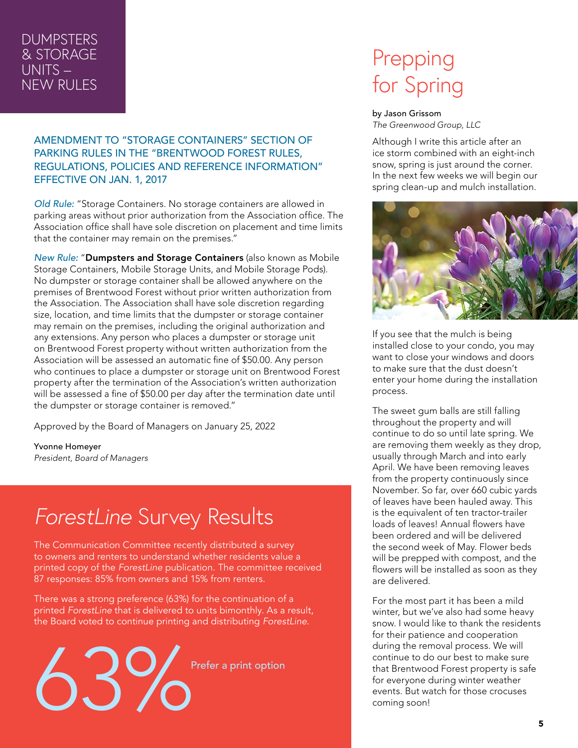# <span id="page-4-0"></span>**DUMPSTERS** & STORAGE UNITS – NEW RULES

AMENDMENT TO "STORAGE CONTAINERS" SECTION OF PARKING RULES IN THE "BRENTWOOD FOREST RULES, REGULATIONS, POLICIES AND REFERENCE INFORMATION" EFFECTIVE ON JAN. 1, 2017

*Old Rule:* "Storage Containers. No storage containers are allowed in parking areas without prior authorization from the Association office. The Association office shall have sole discretion on placement and time limits that the container may remain on the premises."

*New Rule:* "Dumpsters and Storage Containers (also known as Mobile Storage Containers, Mobile Storage Units, and Mobile Storage Pods). No dumpster or storage container shall be allowed anywhere on the premises of Brentwood Forest without prior written authorization from the Association. The Association shall have sole discretion regarding size, location, and time limits that the dumpster or storage container may remain on the premises, including the original authorization and any extensions. Any person who places a dumpster or storage unit on Brentwood Forest property without written authorization from the Association will be assessed an automatic fine of \$50.00. Any person who continues to place a dumpster or storage unit on Brentwood Forest property after the termination of the Association's written authorization will be assessed a fine of \$50.00 per day after the termination date until the dumpster or storage container is removed."

Approved by the Board of Managers on January 25, 2022

Yvonne Homeyer *President, Board of Managers*

# *ForestLine* Survey Results

The Communication Committee recently distributed a survey to owners and renters to understand whether residents value a printed copy of the *ForestLine* publication. The committee received 87 responses: 85% from owners and 15% from renters.

There was a strong preference (63%) for the continuation of a printed *ForestLine* that is delivered to units bimonthly. As a result, the Board voted to continue printing and distributing *ForestLine*.



# Prepping for Spring

#### by Jason Grissom

*The Greenwood Group, LLC*

Although I write this article after an ice storm combined with an eight-inch snow, spring is just around the corner. In the next few weeks we will begin our spring clean-up and mulch installation.



If you see that the mulch is being installed close to your condo, you may want to close your windows and doors to make sure that the dust doesn't enter your home during the installation process.

The sweet gum balls are still falling throughout the property and will continue to do so until late spring. We are removing them weekly as they drop, usually through March and into early April. We have been removing leaves from the property continuously since November. So far, over 660 cubic yards of leaves have been hauled away. This is the equivalent of ten tractor-trailer loads of leaves! Annual flowers have been ordered and will be delivered the second week of May. Flower beds will be prepped with compost, and the flowers will be installed as soon as they are delivered.

For the most part it has been a mild winter, but we've also had some heavy snow. I would like to thank the residents for their patience and cooperation during the removal process. We will continue to do our best to make sure that Brentwood Forest property is safe for everyone during winter weather events. But watch for those crocuses coming soon!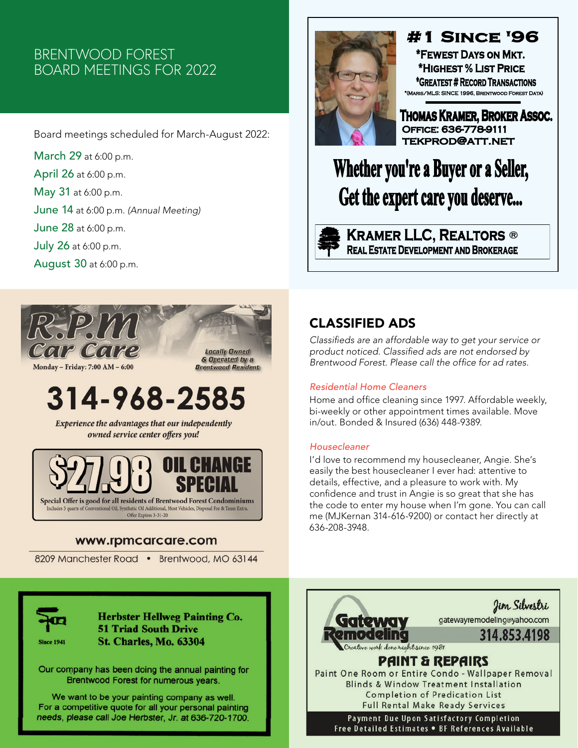# BRENTWOOD FOREST BOARD MEETINGS FOR 2022

Board meetings scheduled for March-August 2022:

March 29 at 6:00 p.m. April 26 at 6:00 p.m. May 31 at 6:00 p.m. June 14 at 6:00 p.m. *(Annual Meeting)*  June 28 at 6:00 p.m. July 26 at 6:00 p.m. August 30 at 6:00 p.m.



Monday - Friday: 7:00 AM - 6:00

# 314-968-2585

Experience the advantages that our independently owned service center offers you!



### www.rpmcarcare.com

8209 Manchester Road • Brentwood, MO 63144



# **#1 SINCE '96**

\*FEWEST DAYS ON MKT. \*HIGHEST % LIST PRICE \*GREATEST # RECORD TRANSACTIONS \*(MARIS/MLS: SINCE 1996, BRENTWOOD FOREST DATA)

Thomas Kramer, Broker Assoc. OFFICE: 636-778-9111 **TEKPROD@ATT.NET** 

# Whether you're a Buyer or a Seller, Get the expert care you deserve...

**KRAMER LLC, REALTORS ®**<br>Real Estate Development and Brokerage

# CLASSIFIED ADS

Classifieds are an affordable way to get your service or product noticed. Classified ads are not endorsed by Brentwood Forest. Please call the office for ad rates.

### *Residential Home Cleaners*

Home and office cleaning since 1997. Affordable weekly, bi-weekly or other appointment times available. Move in/out. Bonded & Insured (636) 448-9389.

### *Housecleaner*

I'd love to recommend my housecleaner, Angie. She's easily the best housecleaner I ever had: attentive to details, effective, and a pleasure to work with. My confidence and trust in Angie is so great that she has the code to enter my house when I'm gone. You can call me (MJKernan 314-616-9200) or contact her directly at 636-208-3948.



**Herbster Hellweg Painting Co. 51 Triad South Drive St. Charles, Mo. 63304** 

Our company has been doing the annual painting for Brentwood Forest for numerous years.

We want to be your painting company as well. For a competitive quote for all your personal painting needs, please call Joe Herbster, Jr. at 636-720-1700.

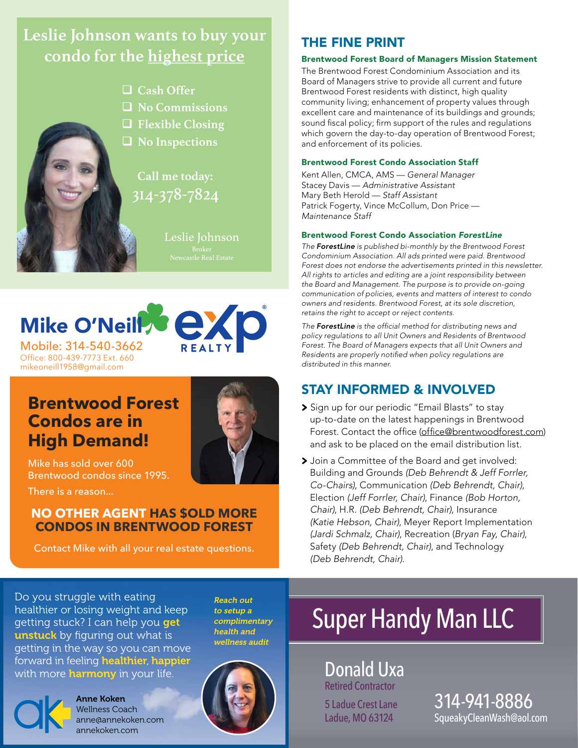# <span id="page-6-0"></span>**Leslie Johnson wants to buy your condo for the highest price**



□ Cash Offer

- q **No Commissions**
- q **Flexible Closing**
- q **No Inspections**

314-378-7824 **Call me today:**

Leslie Johnson



Office: 800-439-7773 Ext. 660 mikeoneill1958@gmail.com

# **Brentwood Forest Condos are in High Demand!**



Mike has sold over 600 Brentwood condos since 1995.

There is a reason...

### **NO OTHER AGENT HAS \$OLD MORE CONDOS IN BRENTWOOD FOREST**

Contact Mike with all your real estate questions.

# THE FINE PRINT

### Brentwood Forest Board of Managers Mission Statement

The Brentwood Forest Condominium Association and its Board of Managers strive to provide all current and future Brentwood Forest residents with distinct, high quality community living; enhancement of property values through excellent care and maintenance of its buildings and grounds; sound fiscal policy; firm support of the rules and regulations which govern the day-to-day operation of Brentwood Forest; and enforcement of its policies.

### Brentwood Forest Condo Association Staff

Kent Allen, CMCA, AMS — *General Manager* Stacey Davis — Administrative Assistant Mary Beth Herold — Staff Assistant Patrick Fogerty, Vince McCollum, Don Price — Maintenance Staff

### Brentwood Forest Condo Association *ForestLine*

*The ForestLine* is published bi-monthly by the Brentwood Forest Condominium Association. All ads printed were paid. Brentwood Forest does not endorse the advertisements printed in this newsletter. All rights to articles and editing are a joint responsibility between the Board and Management. The purpose is to provide on-going communication of policies, events and matters of interest to condo owners and residents. Brentwood Forest, at its sole discretion, retains the right to accept or reject contents.

*The ForestLine* is the official method for distributing news and policy regulations to all Unit Owners and Residents of Brentwood Forest. The Board of Managers expects that all Unit Owners and Residents are properly notified when policy regulations are distributed in this manner.

### STAY INFORMED & INVOLVED

- **>** Sign up for our periodic "Email Blasts" to stay up-to-date on the latest happenings in Brentwood Forest. Contact the office [\(office@brentwoodforest.com](mailto:office@brentwoodforest.com)) and ask to be placed on the email distribution list.
- **>** Join a Committee of the Board and get involved: Building and Grounds (Deb Behrendt & Jeff Forrler, *Co-Chairs)*, Communication (Deb Behrendt, Chair), Election (Jeff Forrler, Chair), Finance (Bob Horton, *Chair)*, H.R. (Deb Behrendt, Chair), Insurance (Katie Hebson, Chair), Meyer Report Implementation (Jardi Schmalz, Chair), Recreation (*Bryan Fay, Chair)*, Safety (Deb Behrendt, Chair), and Technology (Deb Behrendt, Chair).

Do you struggle with eating healthier or losing weight and keep getting stuck? I can help you get unstuck by figuring out what is getting in the way so you can move forward in feeling healthier, happier with more **harmony** in your life.



Anne Koken Wellness Coach anne@annekoken.com annekoken.com

to setup a complimentary health and wellness audit

Reach out



# Super Handy Man LLC

Donald Uxa Retired Contractor

5 Ladue Crest Lane Ladue, MO 63124

7 SqueakyCleanWash@aol.com 314-941-8886